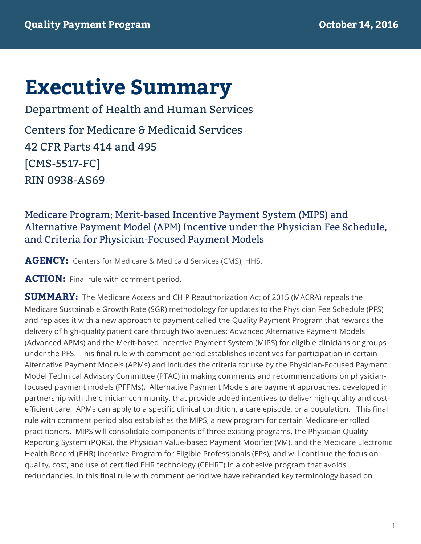# **Executive Summary**

 Centers for Medicare & Medicaid Services 42 CFR Parts 414 and 495 Department of Health and Human Services [CMS-5517-FC] RIN 0938-AS69

# Medicare Program; Merit-based Incentive Payment System (MIPS) and Alternative Payment Model (APM) Incentive under the Physician Fee Schedule, and Criteria for Physician-Focused Payment Models

**AGENCY:** Centers for Medicare & Medicaid Services (CMS), HHS.

ACTION: Final rule with comment period.

 **SUMMARY:** The Medicare Access and CHIP Reauthorization Act of 2015 (MACRA) repeals the Medicare Sustainable Growth Rate (SGR) methodology for updates to the Physician Fee Schedule (PFS) and replaces it with a new approach to payment called the Quality Payment Program that rewards the delivery of high-quality patient care through two avenues: Advanced Alternative Payment Models (Advanced APMs) and the Merit-based Incentive Payment System (MIPS) for eligible clinicians or groups under the PFS. This final rule with comment period establishes incentives for participation in certain Alternative Payment Models (APMs) and includes the criteria for use by the Physician-Focused Payment Model Technical Advisory Committee (PTAC) in making comments and recommendations on physician- focused payment models (PFPMs). Alternative Payment Models are payment approaches, developed in partnership with the clinician community, that provide added incentives to deliver high-quality and cost- efficient care. APMs can apply to a specific clinical condition, a care episode, or a population. This final rule with comment period also establishes the MIPS, a new program for certain Medicare-enrolled practitioners. MIPS will consolidate components of three existing programs, the Physician Quality Reporting System (PQRS), the Physician Value-based Payment Modifier (VM), and the Medicare Electronic Health Record (EHR) Incentive Program for Eligible Professionals (EPs), and will continue the focus on quality, cost, and use of certified EHR technology (CEHRT) in a cohesive program that avoids redundancies. In this final rule with comment period we have rebranded key terminology based on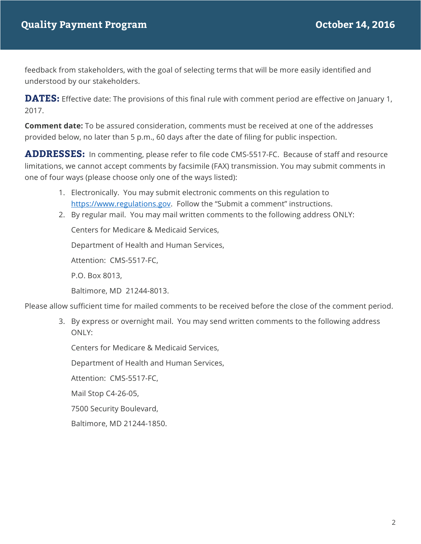feedback from stakeholders, with the goal of selecting terms that will be more easily identified and understood by our stakeholders.

 **DATES:** Effective date: The provisions of this final rule with comment period are effective on January 1, 2017.

 **Comment date:** To be assured consideration, comments must be received at one of the addresses provided below, no later than 5 p.m., 60 days after the date of filing for public inspection.

 **ADDRESSES:** In commenting, please refer to file code CMS-5517-FC. Because of staff and resource one of four ways (please choose only one of the ways listed): limitations, we cannot accept comments by facsimile (FAX) transmission. You may submit comments in

- 1. Electronically. You may submit electronic comments on this regulation to https://www.regulations.gov. Follow the "Submit a comment" instructions.
- 2. By regular mail. You may mail written comments to the following address ONLY:

Centers for Medicare & Medicaid Services,

Department of Health and Human Services,

Attention: CMS-5517-FC,

P.O. Box 8013,

Baltimore, MD 21244-8013.

Please allow sufficient time for mailed comments to be received before the close of the comment period.

3. By express or overnight mail. You may send written comments to the following address ONLY:

Centers for Medicare & Medicaid Services,

Department of Health and Human Services,

Attention: CMS-5517-FC,

Mail Stop C4-26-05,

7500 Security Boulevard,

Baltimore, MD 21244-1850.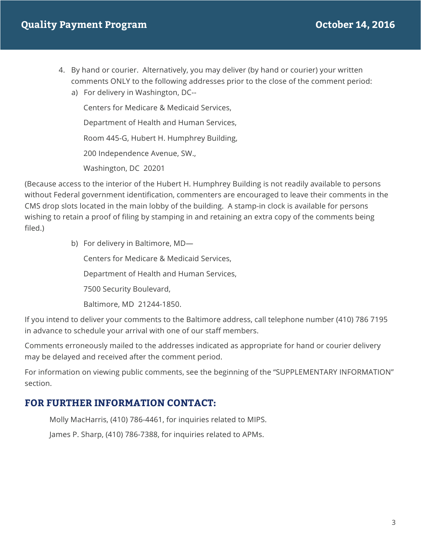- 4. By hand or courier. Alternatively, you may deliver (by hand or courier) your written comments ONLY to the following addresses prior to the close of the comment period:
	- a) For delivery in Washington, DC--

 Centers for Medicare & Medicaid Services, Department of Health and Human Services, Room 445-G, Hubert H. Humphrey Building, Washington, DC 20201 200 Independence Avenue, SW.,

 (Because access to the interior of the Hubert H. Humphrey Building is not readily available to persons without Federal government identification, commenters are encouraged to leave their comments in the CMS drop slots located in the main lobby of the building. A stamp-in clock is available for persons wishing to retain a proof of filing by stamping in and retaining an extra copy of the comments being filed.)

b) For delivery in Baltimore, MD—

Centers for Medicare & Medicaid Services,

Department of Health and Human Services,

7500 Security Boulevard,

Baltimore, MD 21244-1850.

If you intend to deliver your comments to the Baltimore address, call telephone number (410) 786 7195 in advance to schedule your arrival with one of our staff members.

 Comments erroneously mailed to the addresses indicated as appropriate for hand or courier delivery may be delayed and received after the comment period.

 For information on viewing public comments, see the beginning of the "SUPPLEMENTARY INFORMATION" section.

## **FOR FURTHER INFORMATION CONTACT:**

Molly MacHarris, (410) 786-4461, for inquiries related to MIPS.

James P. Sharp, (410) 786-7388, for inquiries related to APMs.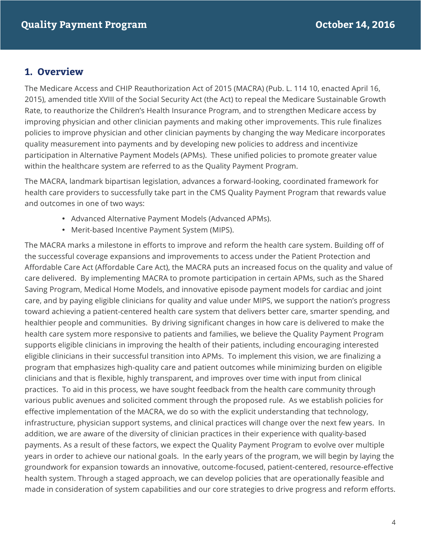## **1. Overview**

 The Medicare Access and CHIP Reauthorization Act of 2015 (MACRA) (Pub. L. 114 10, enacted April 16, 2015), amended title XVIII of the Social Security Act (the Act) to repeal the Medicare Sustainable Growth Rate, to reauthorize the Children's Health Insurance Program, and to strengthen Medicare access by policies to improve physician and other clinician payments by changing the way Medicare incorporates quality measurement into payments and by developing new policies to address and incentivize participation in Alternative Payment Models (APMs). These unified policies to promote greater value within the healthcare system are referred to as the Quality Payment Program. improving physician and other clinician payments and making other improvements. This rule finalizes

 The MACRA, landmark bipartisan legislation, advances a forward-looking, coordinated framework for health care providers to successfully take part in the CMS Quality Payment Program that rewards value and outcomes in one of two ways:

- Advanced Alternative Payment Models (Advanced APMs).
- Merit-based Incentive Payment System (MIPS).

 The MACRA marks a milestone in efforts to improve and reform the health care system. Building off of the successful coverage expansions and improvements to access under the Patient Protection and Affordable Care Act (Affordable Care Act), the MACRA puts an increased focus on the quality and value of care delivered. By implementing MACRA to promote participation in certain APMs, such as the Shared Saving Program, Medical Home Models, and innovative episode payment models for cardiac and joint care, and by paying eligible clinicians for quality and value under MIPS, we support the nation's progress toward achieving a patient-centered health care system that delivers better care, smarter spending, and healthier people and communities. By driving significant changes in how care is delivered to make the health care system more responsive to patients and families, we believe the Quality Payment Program supports eligible clinicians in improving the health of their patients, including encouraging interested eligible clinicians in their successful transition into APMs. To implement this vision, we are finalizing a program that emphasizes high-quality care and patient outcomes while minimizing burden on eligible clinicians and that is flexible, highly transparent, and improves over time with input from clinical practices. To aid in this process, we have sought feedback from the health care community through various public avenues and solicited comment through the proposed rule. As we establish policies for addition, we are aware of the diversity of clinician practices in their experience with quality-based payments. As a result of these factors, we expect the Quality Payment Program to evolve over multiple years in order to achieve our national goals. In the early years of the program, we will begin by laying the groundwork for expansion towards an innovative, outcome-focused, patient-centered, resource-effective health system. Through a staged approach, we can develop policies that are operationally feasible and made in consideration of system capabilities and our core strategies to drive progress and reform efforts. effective implementation of the MACRA, we do so with the explicit understanding that technology, infrastructure, physician support systems, and clinical practices will change over the next few years. In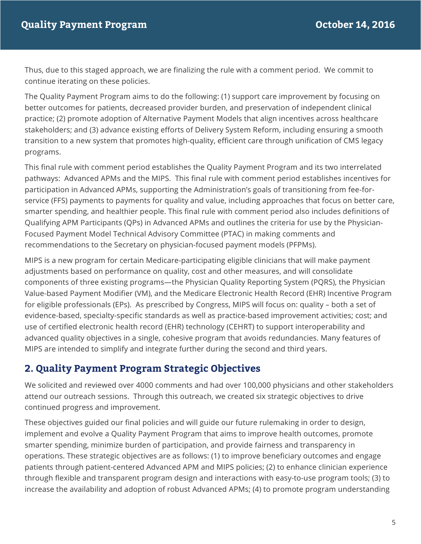Thus, due to this staged approach, we are finalizing the rule with a comment period. We commit to continue iterating on these policies.

 The Quality Payment Program aims to do the following: (1) support care improvement by focusing on better outcomes for patients, decreased provider burden, and preservation of independent clinical practice; (2) promote adoption of Alternative Payment Models that align incentives across healthcare stakeholders; and (3) advance existing efforts of Delivery System Reform, including ensuring a smooth transition to a new system that promotes high-quality, efficient care through unification of CMS legacy programs.

programs.<br>This final rule with comment period establishes the Quality Payment Program and its two interrelated pathways: Advanced APMs and the MIPS. This final rule with comment period establishes incentives for participation in Advanced APMs, supporting the Administration's goals of transitioning from fee-for- service (FFS) payments to payments for quality and value, including approaches that focus on better care, smarter spending, and healthier people. This final rule with comment period also includes definitions of Qualifying APM Participants (QPs) in Advanced APMs and outlines the criteria for use by the Physician- Focused Payment Model Technical Advisory Committee (PTAC) in making comments and recommendations to the Secretary on physician-focused payment models (PFPMs).

 MIPS is a new program for certain Medicare-participating eligible clinicians that will make payment adjustments based on performance on quality, cost and other measures, and will consolidate components of three existing programs—the Physician Quality Reporting System (PQRS), the Physician Value-based Payment Modifier (VM), and the Medicare Electronic Health Record (EHR) Incentive Program for eligible professionals (EPs). As prescribed by Congress, MIPS will focus on: quality – both a set of evidence-based, specialty-specific standards as well as practice-based improvement activities; cost; and use of certified electronic health record (EHR) technology (CEHRT) to support interoperability and advanced quality objectives in a single, cohesive program that avoids redundancies. Many features of MIPS are intended to simplify and integrate further during the second and third years.

## **2. Quality Payment Program Strategic Objectives**

 We solicited and reviewed over 4000 comments and had over 100,000 physicians and other stakeholders attend our outreach sessions. Through this outreach, we created six strategic objectives to drive continued progress and improvement.

continued progress and improvement.<br>These objectives guided our final policies and will guide our future rulemaking in order to design, implement and evolve a Quality Payment Program that aims to improve health outcomes, promote smarter spending, minimize burden of participation, and provide fairness and transparency in operations. These strategic objectives are as follows: (1) to improve beneficiary outcomes and engage patients through patient-centered Advanced APM and MIPS policies; (2) to enhance clinician experience through flexible and transparent program design and interactions with easy-to-use program tools; (3) to increase the availability and adoption of robust Advanced APMs; (4) to promote program understanding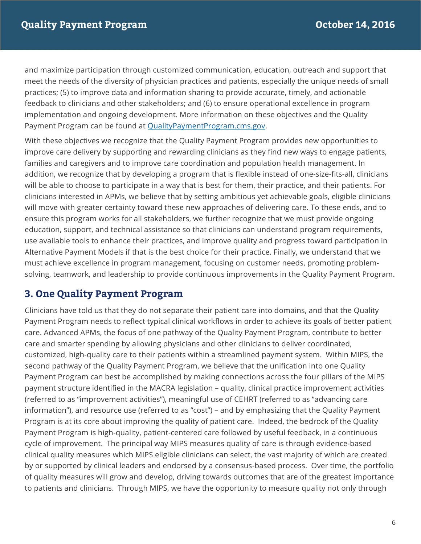and maximize participation through customized communication, education, outreach and support that meet the needs of the diversity of physician practices and patients, especially the unique needs of small practices; (5) to improve data and information sharing to provide accurate, timely, and actionable feedback to clinicians and other stakeholders; and (6) to ensure operational excellence in program Payment Program can be found at QualityPaymentProgram.cms.gov. implementation and ongoing development. More information on these objectives and the Quality

 With these objectives we recognize that the Quality Payment Program provides new opportunities to improve care delivery by supporting and rewarding clinicians as they find new ways to engage patients, families and caregivers and to improve care coordination and population health management. In addition, we recognize that by developing a program that is flexible instead of one-size-fits-all, clinicians will be able to choose to participate in a way that is best for them, their practice, and their patients. For clinicians interested in APMs, we believe that by setting ambitious yet achievable goals, eligible clinicians will move with greater certainty toward these new approaches of delivering care. To these ends, and to ensure this program works for all stakeholders, we further recognize that we must provide ongoing education, support, and technical assistance so that clinicians can understand program requirements, use available tools to enhance their practices, and improve quality and progress toward participation in Alternative Payment Models if that is the best choice for their practice. Finally, we understand that we must achieve excellence in program management, focusing on customer needs, promoting problem-solving, teamwork, and leadership to provide continuous improvements in the Quality Payment Program.

## **3. One Quality Payment Program**

 Clinicians have told us that they do not separate their patient care into domains, and that the Quality Payment Program needs to reflect typical clinical workflows in order to achieve its goals of better patient care. Advanced APMs, the focus of one pathway of the Quality Payment Program, contribute to better care and smarter spending by allowing physicians and other clinicians to deliver coordinated, customized, high-quality care to their patients within a streamlined payment system. Within MIPS, the second pathway of the Quality Payment Program, we believe that the unification into one Quality Payment Program can best be accomplished by making connections across the four pillars of the MIPS payment structure identified in the MACRA legislation – quality, clinical practice improvement activities (referred to as "improvement activities"), meaningful use of CEHRT (referred to as "advancing care information"), and resource use (referred to as "cost") – and by emphasizing that the Quality Payment Program is at its core about improving the quality of patient care. Indeed, the bedrock of the Quality Payment Program is high-quality, patient-centered care followed by useful feedback, in a continuous cycle of improvement. The principal way MIPS measures quality of care is through evidence-based clinical quality measures which MIPS eligible clinicians can select, the vast majority of which are created by or supported by clinical leaders and endorsed by a consensus-based process. Over time, the portfolio of quality measures will grow and develop, driving towards outcomes that are of the greatest importance to patients and clinicians. Through MIPS, we have the opportunity to measure quality not only through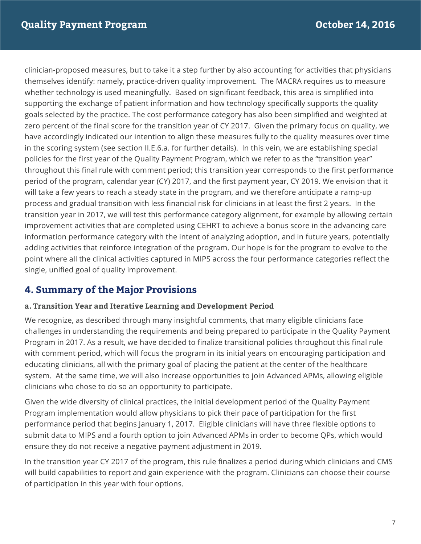clinician-proposed measures, but to take it a step further by also accounting for activities that physicians themselves identify: namely, practice-driven quality improvement. The MACRA requires us to measure whether technology is used meaningfully. Based on significant feedback, this area is simplified into supporting the exchange of patient information and how technology specifically supports the quality goals selected by the practice. The cost performance category has also been simplified and weighted at zero percent of the final score for the transition year of CY 2017. Given the primary focus on quality, we have accordingly indicated our intention to align these measures fully to the quality measures over time policies for the first year of the Quality Payment Program, which we refer to as the "transition year" throughout this final rule with comment period; this transition year corresponds to the first performance period of the program, calendar year (CY) 2017, and the first payment year, CY 2019. We envision that it will take a few years to reach a steady state in the program, and we therefore anticipate a ramp-up process and gradual transition with less financial risk for clinicians in at least the first 2 years. In the transition year in 2017, we will test this performance category alignment, for example by allowing certain improvement activities that are completed using CEHRT to achieve a bonus score in the advancing care information performance category with the intent of analyzing adoption, and in future years, potentially adding activities that reinforce integration of the program. Our hope is for the program to evolve to the point where all the clinical activities captured in MIPS across the four performance categories reflect the in the scoring system (see section II.E.6.a. for further details). In this vein, we are establishing special single, unified goal of quality improvement.

# **4. Summary of the Major Provisions**

## **a. Transition Year and Iterative Learning and Development Period**

 We recognize, as described through many insightful comments, that many eligible clinicians face challenges in understanding the requirements and being prepared to participate in the Quality Payment Program in 2017. As a result, we have decided to finalize transitional policies throughout this final rule with comment period, which will focus the program in its initial years on encouraging participation and educating clinicians, all with the primary goal of placing the patient at the center of the healthcare system. At the same time, we will also increase opportunities to join Advanced APMs, allowing eligible clinicians who chose to do so an opportunity to participate.

clinicians who chose to do so an opportunity to participate.<br>Given the wide diversity of clinical practices, the initial development period of the Quality Payment Program implementation would allow physicians to pick their pace of participation for the first performance period that begins January 1, 2017. Eligible clinicians will have three flexible options to submit data to MIPS and a fourth option to join Advanced APMs in order to become QPs, which would ensure they do not receive a negative payment adjustment in 2019.

 will build capabilities to report and gain experience with the program. Clinicians can choose their course of participation in this year with four options. In the transition year CY 2017 of the program, this rule finalizes a period during which clinicians and CMS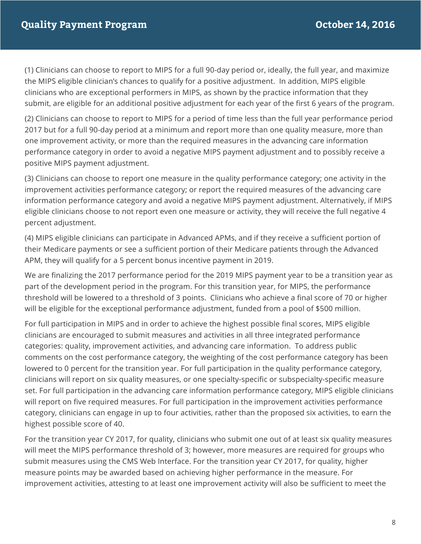(1) Clinicians can choose to report to MIPS for a full 90-day period or, ideally, the full year, and maximize the MIPS eligible clinician's chances to qualify for a positive adjustment. In addition, MIPS eligible clinicians who are exceptional performers in MIPS, as shown by the practice information that they submit, are eligible for an additional positive adjustment for each year of the first 6 years of the program.

 (2) Clinicians can choose to report to MIPS for a period of time less than the full year performance period 2017 but for a full 90-day period at a minimum and report more than one quality measure, more than one improvement activity, or more than the required measures in the advancing care information performance category in order to avoid a negative MIPS payment adjustment and to possibly receive a positive MIPS payment adjustment.

 (3) Clinicians can choose to report one measure in the quality performance category; one activity in the improvement activities performance category; or report the required measures of the advancing care eligible clinicians choose to not report even one measure or activity, they will receive the full negative 4 information performance category and avoid a negative MIPS payment adjustment. Alternatively, if MIPS percent adjustment.

 (4) MIPS eligible clinicians can participate in Advanced APMs, and if they receive a sufficient portion of their Medicare payments or see a sufficient portion of their Medicare patients through the Advanced APM, they will qualify for a 5 percent bonus incentive payment in 2019.

 We are finalizing the 2017 performance period for the 2019 MIPS payment year to be a transition year as part of the development period in the program. For this transition year, for MIPS, the performance threshold will be lowered to a threshold of 3 points. Clinicians who achieve a final score of 70 or higher will be eligible for the exceptional performance adjustment, funded from a pool of \$500 million.

 For full participation in MIPS and in order to achieve the highest possible final scores, MIPS eligible clinicians are encouraged to submit measures and activities in all three integrated performance categories: quality, improvement activities, and advancing care information. To address public comments on the cost performance category, the weighting of the cost performance category has been clinicians will report on six quality measures, or one specialty-specific or subspecialty-specific measure set. For full participation in the advancing care information performance category, MIPS eligible clinicians will report on five required measures. For full participation in the improvement activities performance category, clinicians can engage in up to four activities, rather than the proposed six activities, to earn the highest possible score of 40. lowered to 0 percent for the transition year. For full participation in the quality performance category,

 For the transition year CY 2017, for quality, clinicians who submit one out of at least six quality measures submit measures using the CMS Web Interface. For the transition year CY 2017, for quality, higher measure points may be awarded based on achieving higher performance in the measure. For will meet the MIPS performance threshold of 3; however, more measures are required for groups who improvement activities, attesting to at least one improvement activity will also be sufficient to meet the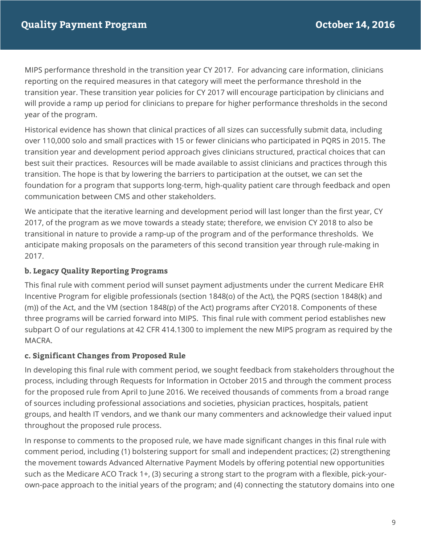MIPS performance threshold in the transition year CY 2017. For advancing care information, clinicians reporting on the required measures in that category will meet the performance threshold in the transition year. These transition year policies for CY 2017 will encourage participation by clinicians and will provide a ramp up period for clinicians to prepare for higher performance thresholds in the second year of the program.

 Historical evidence has shown that clinical practices of all sizes can successfully submit data, including over 110,000 solo and small practices with 15 or fewer clinicians who participated in PQRS in 2015. The transition year and development period approach gives clinicians structured, practical choices that can best suit their practices. Resources will be made available to assist clinicians and practices through this transition. The hope is that by lowering the barriers to participation at the outset, we can set the foundation for a program that supports long-term, high-quality patient care through feedback and open communication between CMS and other stakeholders.

 We anticipate that the iterative learning and development period will last longer than the first year, CY 2017, of the program as we move towards a steady state; therefore, we envision CY 2018 to also be transitional in nature to provide a ramp-up of the program and of the performance thresholds. We anticipate making proposals on the parameters of this second transition year through rule-making in 2017.

#### **b. Legacy Quality Reporting Programs**

 This final rule with comment period will sunset payment adjustments under the current Medicare EHR (m)) of the Act, and the VM (section 1848(p) of the Act) programs after CY2018. Components of these three programs will be carried forward into MIPS. This final rule with comment period establishes new subpart O of our regulations at 42 CFR 414.1300 to implement the new MIPS program as required by the Incentive Program for eligible professionals (section 1848(o) of the Act), the PQRS (section 1848(k) and MACRA.

#### **c. Significant Changes from Proposed Rule**

 process, including through Requests for Information in October 2015 and through the comment process for the proposed rule from April to June 2016. We received thousands of comments from a broad range of sources including professional associations and societies, physician practices, hospitals, patient groups, and health IT vendors, and we thank our many commenters and acknowledge their valued input throughout the proposed rule process. In developing this final rule with comment period, we sought feedback from stakeholders throughout the

 comment period, including (1) bolstering support for small and independent practices; (2) strengthening the movement towards Advanced Alternative Payment Models by offering potential new opportunities such as the Medicare ACO Track 1+, (3) securing a strong start to the program with a flexible, pick-your-In response to comments to the proposed rule, we have made significant changes in this final rule with own-pace approach to the initial years of the program; and (4) connecting the statutory domains into one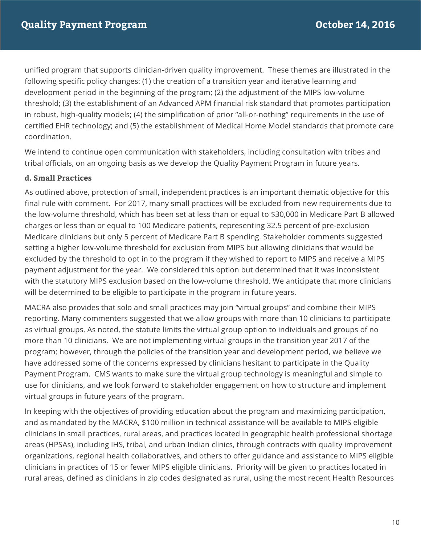unified program that supports clinician-driven quality improvement. These themes are illustrated in the following specific policy changes: (1) the creation of a transition year and iterative learning and development period in the beginning of the program; (2) the adjustment of the MIPS low-volume threshold; (3) the establishment of an Advanced APM financial risk standard that promotes participation in robust, high-quality models; (4) the simplification of prior "all-or-nothing" requirements in the use of certified EHR technology; and (5) the establishment of Medical Home Model standards that promote care coordination.

 We intend to continue open communication with stakeholders, including consultation with tribes and tribal officials, on an ongoing basis as we develop the Quality Payment Program in future years.

#### **d. Small Practices**

 As outlined above, protection of small, independent practices is an important thematic objective for this final rule with comment. For 2017, many small practices will be excluded from new requirements due to the low-volume threshold, which has been set at less than or equal to \$30,000 in Medicare Part B allowed charges or less than or equal to 100 Medicare patients, representing 32.5 percent of pre-exclusion Medicare clinicians but only 5 percent of Medicare Part B spending. Stakeholder comments suggested setting a higher low-volume threshold for exclusion from MIPS but allowing clinicians that would be excluded by the threshold to opt in to the program if they wished to report to MIPS and receive a MIPS payment adjustment for the year. We considered this option but determined that it was inconsistent with the statutory MIPS exclusion based on the low-volume threshold. We anticipate that more clinicians will be determined to be eligible to participate in the program in future years.

 MACRA also provides that solo and small practices may join "virtual groups" and combine their MIPS reporting. Many commenters suggested that we allow groups with more than 10 clinicians to participate as virtual groups. As noted, the statute limits the virtual group option to individuals and groups of no more than 10 clinicians. We are not implementing virtual groups in the transition year 2017 of the program; however, through the policies of the transition year and development period, we believe we have addressed some of the concerns expressed by clinicians hesitant to participate in the Quality Payment Program. CMS wants to make sure the virtual group technology is meaningful and simple to use for clinicians, and we look forward to stakeholder engagement on how to structure and implement virtual groups in future years of the program.

 and as mandated by the MACRA, \$100 million in technical assistance will be available to MIPS eligible clinicians in small practices, rural areas, and practices located in geographic health professional shortage areas (HPSAs), including IHS, tribal, and urban Indian clinics, through contracts with quality improvement organizations, regional health collaboratives, and others to offer guidance and assistance to MIPS eligible clinicians in practices of 15 or fewer MIPS eligible clinicians. Priority will be given to practices located in rural areas, defined as clinicians in zip codes designated as rural, using the most recent Health Resources In keeping with the objectives of providing education about the program and maximizing participation,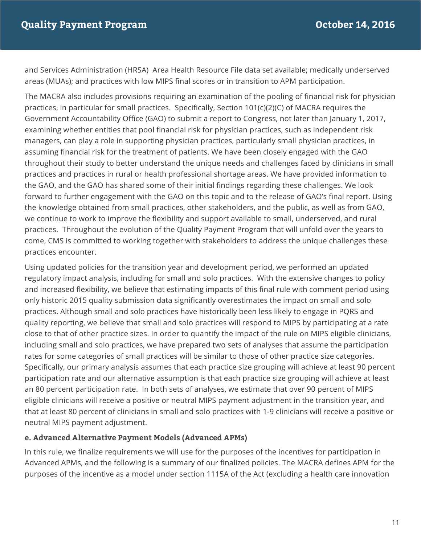and Services Administration (HRSA) Area Health Resource File data set available; medically underserved areas (MUAs); and practices with low MIPS final scores or in transition to APM participation.

 The MACRA also includes provisions requiring an examination of the pooling of financial risk for physician practices, in particular for small practices. Specifically, Section 101(c)(2)(C) of MACRA requires the Government Accountability Office (GAO) to submit a report to Congress, not later than January 1, 2017, examining whether entities that pool financial risk for physician practices, such as independent risk managers, can play a role in supporting physician practices, particularly small physician practices, in assuming financial risk for the treatment of patients. We have been closely engaged with the GAO throughout their study to better understand the unique needs and challenges faced by clinicians in small practices and practices in rural or health professional shortage areas. We have provided information to the GAO, and the GAO has shared some of their initial findings regarding these challenges. We look forward to further engagement with the GAO on this topic and to the release of GAO's final report. Using the knowledge obtained from small practices, other stakeholders, and the public, as well as from GAO, we continue to work to improve the flexibility and support available to small, underserved, and rural practices. Throughout the evolution of the Quality Payment Program that will unfold over the years to come, CMS is committed to working together with stakeholders to address the unique challenges these practices encounter.

 Using updated policies for the transition year and development period, we performed an updated regulatory impact analysis, including for small and solo practices. With the extensive changes to policy and increased flexibility, we believe that estimating impacts of this final rule with comment period using only historic 2015 quality submission data significantly overestimates the impact on small and solo practices. Although small and solo practices have historically been less likely to engage in PQRS and quality reporting, we believe that small and solo practices will respond to MIPS by participating at a rate close to that of other practice sizes. In order to quantify the impact of the rule on MIPS eligible clinicians, including small and solo practices, we have prepared two sets of analyses that assume the participation rates for some categories of small practices will be similar to those of other practice size categories. Specifically, our primary analysis assumes that each practice size grouping will achieve at least 90 percent an 80 percent participation rate. In both sets of analyses, we estimate that over 90 percent of MIPS eligible clinicians will receive a positive or neutral MIPS payment adjustment in the transition year, and that at least 80 percent of clinicians in small and solo practices with 1-9 clinicians will receive a positive or neutral MIPS payment adjustment. participation rate and our alternative assumption is that each practice size grouping will achieve at least

#### **e. Advanced Alternative Payment Models (Advanced APMs)**

 Advanced APMs, and the following is a summary of our finalized policies. The MACRA defines APM for the purposes of the incentive as a model under section 1115A of the Act (excluding a health care innovation In this rule, we finalize requirements we will use for the purposes of the incentives for participation in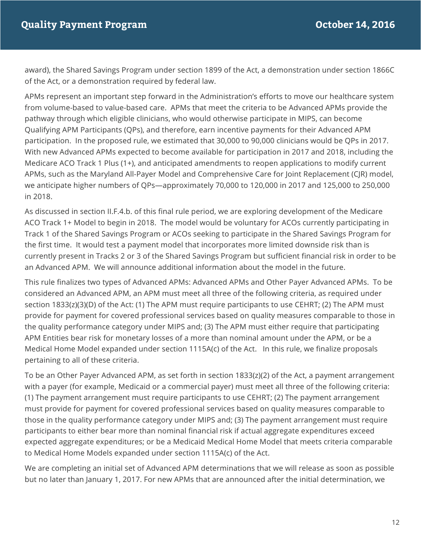award), the Shared Savings Program under section 1899 of the Act, a demonstration under section 1866C of the Act, or a demonstration required by federal law.

 APMs represent an important step forward in the Administration's efforts to move our healthcare system from volume-based to value-based care. APMs that meet the criteria to be Advanced APMs provide the pathway through which eligible clinicians, who would otherwise participate in MIPS, can become Qualifying APM Participants (QPs), and therefore, earn incentive payments for their Advanced APM participation. In the proposed rule, we estimated that 30,000 to 90,000 clinicians would be QPs in 2017. With new Advanced APMs expected to become available for participation in 2017 and 2018, including the Medicare ACO Track 1 Plus (1+), and anticipated amendments to reopen applications to modify current APMs, such as the Maryland All-Payer Model and Comprehensive Care for Joint Replacement (CJR) model, we anticipate higher numbers of QPs—approximately 70,000 to 120,000 in 2017 and 125,000 to 250,000 in 2018.

 As discussed in section II.F.4.b. of this final rule period, we are exploring development of the Medicare ACO Track 1+ Model to begin in 2018. The model would be voluntary for ACOs currently participating in Track 1 of the Shared Savings Program or ACOs seeking to participate in the Shared Savings Program for the first time. It would test a payment model that incorporates more limited downside risk than is currently present in Tracks 2 or 3 of the Shared Savings Program but sufficient financial risk in order to be an Advanced APM. We will announce additional information about the model in the future.

 This rule finalizes two types of Advanced APMs: Advanced APMs and Other Payer Advanced APMs. To be considered an Advanced APM, an APM must meet all three of the following criteria, as required under section 1833(z)(3)(D) of the Act: (1) The APM must require participants to use CEHRT; (2) The APM must provide for payment for covered professional services based on quality measures comparable to those in the quality performance category under MIPS and; (3) The APM must either require that participating APM Entities bear risk for monetary losses of a more than nominal amount under the APM, or be a Medical Home Model expanded under section 1115A(c) of the Act. In this rule, we finalize proposals pertaining to all of these criteria.

 To be an Other Payer Advanced APM, as set forth in section 1833(z)(2) of the Act, a payment arrangement with a payer (for example, Medicaid or a commercial payer) must meet all three of the following criteria: (1) The payment arrangement must require participants to use CEHRT; (2) The payment arrangement must provide for payment for covered professional services based on quality measures comparable to those in the quality performance category under MIPS and; (3) The payment arrangement must require participants to either bear more than nominal financial risk if actual aggregate expenditures exceed expected aggregate expenditures; or be a Medicaid Medical Home Model that meets criteria comparable to Medical Home Models expanded under section 1115A(c) of the Act.

 We are completing an initial set of Advanced APM determinations that we will release as soon as possible but no later than January 1, 2017. For new APMs that are announced after the initial determination, we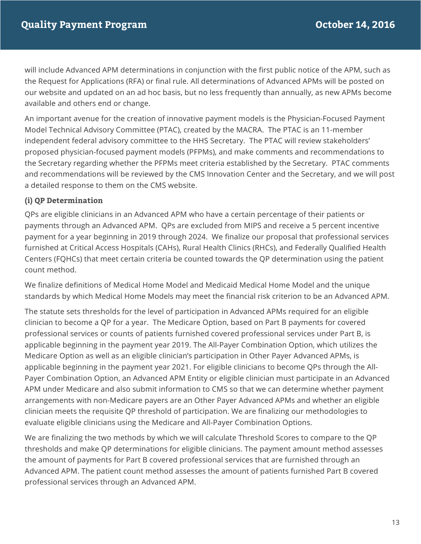will include Advanced APM determinations in conjunction with the first public notice of the APM, such as the Request for Applications (RFA) or final rule. All determinations of Advanced APMs will be posted on our website and updated on an ad hoc basis, but no less frequently than annually, as new APMs become available and others end or change.

 An important avenue for the creation of innovative payment models is the Physician-Focused Payment Model Technical Advisory Committee (PTAC), created by the MACRA. The PTAC is an 11-member proposed physician-focused payment models (PFPMs), and make comments and recommendations to the Secretary regarding whether the PFPMs meet criteria established by the Secretary. PTAC comments and recommendations will be reviewed by the CMS Innovation Center and the Secretary, and we will post a detailed response to them on the CMS website. independent federal advisory committee to the HHS Secretary. The PTAC will review stakeholders'

#### **(i) QP Determination**

 QPs are eligible clinicians in an Advanced APM who have a certain percentage of their patients or payments through an Advanced APM. QPs are excluded from MIPS and receive a 5 percent incentive payment for a year beginning in 2019 through 2024. We finalize our proposal that professional services furnished at Critical Access Hospitals (CAHs), Rural Health Clinics (RHCs), and Federally Qualified Health Centers (FQHCs) that meet certain criteria be counted towards the QP determination using the patient count method.

 We finalize definitions of Medical Home Model and Medicaid Medical Home Model and the unique standards by which Medical Home Models may meet the financial risk criterion to be an Advanced APM.

 The statute sets thresholds for the level of participation in Advanced APMs required for an eligible clinician to become a QP for a year. The Medicare Option, based on Part B payments for covered professional services or counts of patients furnished covered professional services under Part B, is applicable beginning in the payment year 2019. The All-Payer Combination Option, which utilizes the Medicare Option as well as an eligible clinician's participation in Other Payer Advanced APMs, is applicable beginning in the payment year 2021. For eligible clinicians to become QPs through the All- Payer Combination Option, an Advanced APM Entity or eligible clinician must participate in an Advanced APM under Medicare and also submit information to CMS so that we can determine whether payment arrangements with non-Medicare payers are an Other Payer Advanced APMs and whether an eligible clinician meets the requisite QP threshold of participation. We are finalizing our methodologies to evaluate eligible clinicians using the Medicare and All-Payer Combination Options.

 We are finalizing the two methods by which we will calculate Threshold Scores to compare to the QP thresholds and make QP determinations for eligible clinicians. The payment amount method assesses the amount of payments for Part B covered professional services that are furnished through an Advanced APM. The patient count method assesses the amount of patients furnished Part B covered professional services through an Advanced APM.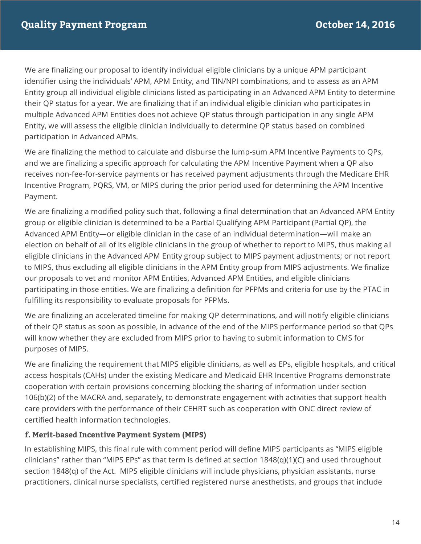We are finalizing our proposal to identify individual eligible clinicians by a unique APM participant Entity group all individual eligible clinicians listed as participating in an Advanced APM Entity to determine their QP status for a year. We are finalizing that if an individual eligible clinician who participates in multiple Advanced APM Entities does not achieve QP status through participation in any single APM Entity, we will assess the eligible clinician individually to determine QP status based on combined identifier using the individuals' APM, APM Entity, and TIN/NPI combinations, and to assess as an APM participation in Advanced APMs.

 We are finalizing the method to calculate and disburse the lump-sum APM Incentive Payments to QPs, and we are finalizing a specific approach for calculating the APM Incentive Payment when a QP also receives non-fee-for-service payments or has received payment adjustments through the Medicare EHR Incentive Program, PQRS, VM, or MIPS during the prior period used for determining the APM Incentive Payment.

 We are finalizing a modified policy such that, following a final determination that an Advanced APM Entity group or eligible clinician is determined to be a Partial Qualifying APM Participant (Partial QP), the Advanced APM Entity—or eligible clinician in the case of an individual determination—will make an election on behalf of all of its eligible clinicians in the group of whether to report to MIPS, thus making all eligible clinicians in the Advanced APM Entity group subject to MIPS payment adjustments; or not report to MIPS, thus excluding all eligible clinicians in the APM Entity group from MIPS adjustments. We finalize our proposals to vet and monitor APM Entities, Advanced APM Entities, and eligible clinicians participating in those entities. We are finalizing a definition for PFPMs and criteria for use by the PTAC in fulfilling its responsibility to evaluate proposals for PFPMs.

 We are finalizing an accelerated timeline for making QP determinations, and will notify eligible clinicians of their QP status as soon as possible, in advance of the end of the MIPS performance period so that QPs will know whether they are excluded from MIPS prior to having to submit information to CMS for purposes of MIPS.

 We are finalizing the requirement that MIPS eligible clinicians, as well as EPs, eligible hospitals, and critical access hospitals (CAHs) under the existing Medicare and Medicaid EHR Incentive Programs demonstrate cooperation with certain provisions concerning blocking the sharing of information under section 106(b)(2) of the MACRA and, separately, to demonstrate engagement with activities that support health care providers with the performance of their CEHRT such as cooperation with ONC direct review of certified health information technologies.

#### **f. Merit-based Incentive Payment System (MIPS)**

 clinicians" rather than "MIPS EPs" as that term is defined at section 1848(q)(1)(C) and used throughout section 1848(q) of the Act. MIPS eligible clinicians will include physicians, physician assistants, nurse practitioners, clinical nurse specialists, certified registered nurse anesthetists, and groups that include In establishing MIPS, this final rule with comment period will define MIPS participants as "MIPS eligible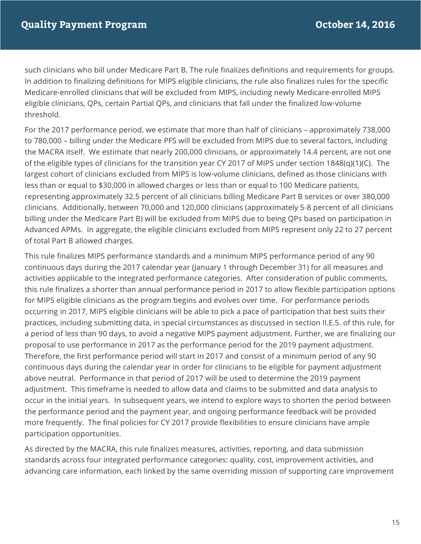such clinicians who bill under Medicare Part B. The rule finalizes definitions and requirements for groups. Medicare-enrolled clinicians that will be excluded from MIPS, including newly Medicare-enrolled MIPS eligible clinicians, QPs, certain Partial QPs, and clinicians that fall under the finalized low-volume In addition to finalizing definitions for MIPS eligible clinicians, the rule also finalizes rules for the specific threshold.

 For the 2017 performance period, we estimate that more than half of clinicians – approximately 738,000 to 780,000 – billing under the Medicare PFS will be excluded from MIPS due to several factors, including the MACRA itself. We estimate that nearly 200,000 clinicians, or approximately 14.4 percent, are not one of the eligible types of clinicians for the transition year CY 2017 of MIPS under section 1848(q)(1)(C). The largest cohort of clinicians excluded from MIPS is low-volume clinicians, defined as those clinicians with less than or equal to \$30,000 in allowed charges or less than or equal to 100 Medicare patients, representing approximately 32.5 percent of all clinicians billing Medicare Part B services or over 380,000 clinicians. Additionally, between 70,000 and 120,000 clinicians (approximately 5-8 percent of all clinicians billing under the Medicare Part B) will be excluded from MIPS due to being QPs based on participation in Advanced APMs. In aggregate, the eligible clinicians excluded from MIPS represent only 22 to 27 percent of total Part B allowed charges.

 This rule finalizes MIPS performance standards and a minimum MIPS performance period of any 90 continuous days during the 2017 calendar year (January 1 through December 31) for all measures and activities applicable to the integrated performance categories. After consideration of public comments, this rule finalizes a shorter than annual performance period in 2017 to allow flexible participation options for MIPS eligible clinicians as the program begins and evolves over time. For performance periods occurring in 2017, MIPS eligible clinicians will be able to pick a pace of participation that best suits their practices, including submitting data, in special circumstances as discussed in section II.E.5. of this rule, for a period of less than 90 days, to avoid a negative MIPS payment adjustment. Further, we are finalizing our proposal to use performance in 2017 as the performance period for the 2019 payment adjustment. Therefore, the first performance period will start in 2017 and consist of a minimum period of any 90 continuous days during the calendar year in order for clinicians to be eligible for payment adjustment above neutral. Performance in that period of 2017 will be used to determine the 2019 payment adjustment. This timeframe is needed to allow data and claims to be submitted and data analysis to occur in the initial years. In subsequent years, we intend to explore ways to shorten the period between the performance period and the payment year, and ongoing performance feedback will be provided more frequently. The final policies for CY 2017 provide flexibilities to ensure clinicians have ample participation opportunities.

 As directed by the MACRA, this rule finalizes measures, activities, reporting, and data submission standards across four integrated performance categories: quality, cost, improvement activities, and advancing care information, each linked by the same overriding mission of supporting care improvement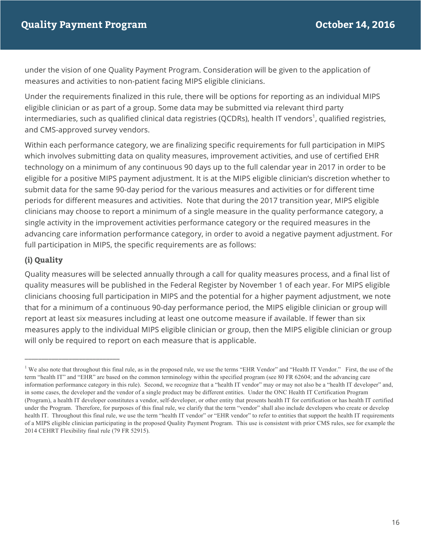under the vision of one Quality Payment Program. Consideration will be given to the application of measures and activities to non-patient facing MIPS eligible clinicians.

 Under the requirements finalized in this rule, there will be options for reporting as an individual MIPS eligible clinician or as part of a group. Some data may be submitted via relevant third party intermediaries, such as qualified clinical data registries (QCDRs), health IT vendors<sup>1</sup>, qualified registries, and CMS-approved survey vendors.

 Within each performance category, we are finalizing specific requirements for full participation in MIPS which involves submitting data on quality measures, improvement activities, and use of certified EHR technology on a minimum of any continuous 90 days up to the full calendar year in 2017 in order to be eligible for a positive MIPS payment adjustment. It is at the MIPS eligible clinician's discretion whether to submit data for the same 90-day period for the various measures and activities or for different time periods for different measures and activities. Note that during the 2017 transition year, MIPS eligible clinicians may choose to report a minimum of a single measure in the quality performance category, a single activity in the improvement activities performance category or the required measures in the advancing care information performance category, in order to avoid a negative payment adjustment. For full participation in MIPS, the specific requirements are as follows:

## **(i) Quality**

\_\_\_\_\_\_\_\_\_\_\_\_\_\_\_\_\_\_\_\_\_\_\_\_\_\_\_\_

 Quality measures will be selected annually through a call for quality measures process, and a final list of quality measures will be published in the Federal Register by November 1 of each year. For MIPS eligible clinicians choosing full participation in MIPS and the potential for a higher payment adjustment, we note that for a minimum of a continuous 90-day performance period, the MIPS eligible clinician or group will report at least six measures including at least one outcome measure if available. If fewer than six measures apply to the individual MIPS eligible clinician or group, then the MIPS eligible clinician or group will only be required to report on each measure that is applicable.

<sup>&</sup>lt;sup>1</sup> We also note that throughout this final rule, as in the proposed rule, we use the terms "EHR Vendor" and "Health IT Vendor." First, the use of the information performance category in this rule). Second, we recognize that a "health IT vendor" may or may not also be a "health IT developer" and, in some cases, the developer and the vendor of a single product may be different entities. Under the ONC Health IT Certification Program (Program), a health IT developer constitutes a vendor, self-developer, or other entity that presents health IT for certification or has health IT certified under the Program. Therefore, for purposes of this final rule, we clarify that the term "vendor" shall also include developers who create or develop health IT. Throughout this final rule, we use the term "health IT vendor" or "EHR vendor" to refer to entities that support the health IT requirements of a MIPS eligible clinician participating in the proposed Quality Payment Program. This use is consistent with prior CMS rules, see for example the 2014 CEHRT Flexibility final rule (79 FR 52915). term "health IT" and "EHR" are based on the common terminology within the specified program (see 80 FR 62604; and the advancing care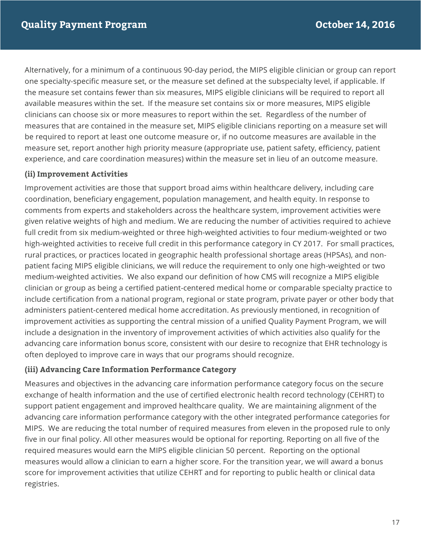Alternatively, for a minimum of a continuous 90-day period, the MIPS eligible clinician or group can report one specialty-specific measure set, or the measure set defined at the subspecialty level, if applicable. If the measure set contains fewer than six measures, MIPS eligible clinicians will be required to report all available measures within the set. If the measure set contains six or more measures, MIPS eligible clinicians can choose six or more measures to report within the set. Regardless of the number of measures that are contained in the measure set, MIPS eligible clinicians reporting on a measure set will be required to report at least one outcome measure or, if no outcome measures are available in the measure set, report another high priority measure (appropriate use, patient safety, efficiency, patient experience, and care coordination measures) within the measure set in lieu of an outcome measure.

#### **(ii) Improvement Activities**

 coordination, beneficiary engagement, population management, and health equity. In response to comments from experts and stakeholders across the healthcare system, improvement activities were given relative weights of high and medium. We are reducing the number of activities required to achieve full credit from six medium-weighted or three high-weighted activities to four medium-weighted or two high-weighted activities to receive full credit in this performance category in CY 2017. For small practices, rural practices, or practices located in geographic health professional shortage areas (HPSAs), and non- patient facing MIPS eligible clinicians, we will reduce the requirement to only one high-weighted or two medium-weighted activities. We also expand our definition of how CMS will recognize a MIPS eligible clinician or group as being a certified patient-centered medical home or comparable specialty practice to administers patient-centered medical home accreditation. As previously mentioned, in recognition of advancing care information bonus score, consistent with our desire to recognize that EHR technology is often deployed to improve care in ways that our programs should recognize. Improvement activities are those that support broad aims within healthcare delivery, including care include certification from a national program, regional or state program, private payer or other body that improvement activities as supporting the central mission of a unified Quality Payment Program, we will include a designation in the inventory of improvement activities of which activities also qualify for the

#### **(iii) Advancing Care Information Performance Category**

 Measures and objectives in the advancing care information performance category focus on the secure exchange of health information and the use of certified electronic health record technology (CEHRT) to support patient engagement and improved healthcare quality. We are maintaining alignment of the advancing care information performance category with the other integrated performance categories for MIPS. We are reducing the total number of required measures from eleven in the proposed rule to only five in our final policy. All other measures would be optional for reporting. Reporting on all five of the required measures would earn the MIPS eligible clinician 50 percent. Reporting on the optional measures would allow a clinician to earn a higher score. For the transition year, we will award a bonus score for improvement activities that utilize CEHRT and for reporting to public health or clinical data registries.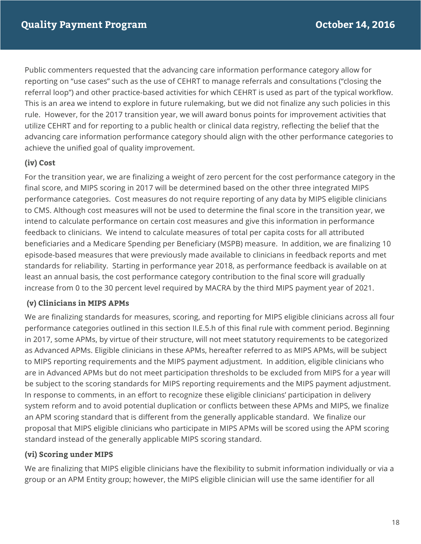Public commenters requested that the advancing care information performance category allow for reporting on "use cases" such as the use of CEHRT to manage referrals and consultations ("closing the referral loop") and other practice-based activities for which CEHRT is used as part of the typical workflow. This is an area we intend to explore in future rulemaking, but we did not finalize any such policies in this rule. However, for the 2017 transition year, we will award bonus points for improvement activities that utilize CEHRT and for reporting to a public health or clinical data registry, reflecting the belief that the advancing care information performance category should align with the other performance categories to achieve the unified goal of quality improvement.

## **(iv) Cost**

 For the transition year, we are finalizing a weight of zero percent for the cost performance category in the final score, and MIPS scoring in 2017 will be determined based on the other three integrated MIPS performance categories. Cost measures do not require reporting of any data by MIPS eligible clinicians to CMS. Although cost measures will not be used to determine the final score in the transition year, we feedback to clinicians. We intend to calculate measures of total per capita costs for all attributed beneficiaries and a Medicare Spending per Beneficiary (MSPB) measure. In addition, we are finalizing 10 episode-based measures that were previously made available to clinicians in feedback reports and met standards for reliability. Starting in performance year 2018, as performance feedback is available on at intend to calculate performance on certain cost measures and give this information in performance least an annual basis, the cost performance category contribution to the final score will gradually increase from 0 to the 30 percent level required by MACRA by the third MIPS payment year of 2021.

## **(v) Clinicians in MIPS APMs**

 We are finalizing standards for measures, scoring, and reporting for MIPS eligible clinicians across all four performance categories outlined in this section II.E.5.h of this final rule with comment period. Beginning in 2017, some APMs, by virtue of their structure, will not meet statutory requirements to be categorized as Advanced APMs. Eligible clinicians in these APMs, hereafter referred to as MIPS APMs, will be subject to MIPS reporting requirements and the MIPS payment adjustment. In addition, eligible clinicians who are in Advanced APMs but do not meet participation thresholds to be excluded from MIPS for a year will be subject to the scoring standards for MIPS reporting requirements and the MIPS payment adjustment. In response to comments, in an effort to recognize these eligible clinicians' participation in delivery system reform and to avoid potential duplication or conflicts between these APMs and MIPS, we finalize an APM scoring standard that is different from the generally applicable standard. We finalize our proposal that MIPS eligible clinicians who participate in MIPS APMs will be scored using the APM scoring standard instead of the generally applicable MIPS scoring standard.

## **(vi) Scoring under MIPS**

 We are finalizing that MIPS eligible clinicians have the flexibility to submit information individually or via a group or an APM Entity group; however, the MIPS eligible clinician will use the same identifier for all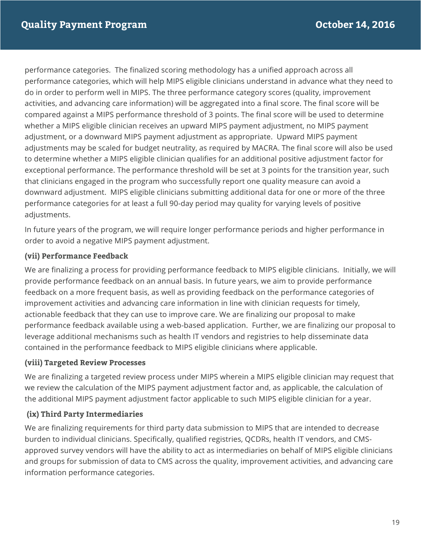performance categories. The finalized scoring methodology has a unified approach across all performance categories, which will help MIPS eligible clinicians understand in advance what they need to do in order to perform well in MIPS. The three performance category scores (quality, improvement activities, and advancing care information) will be aggregated into a final score. The final score will be compared against a MIPS performance threshold of 3 points. The final score will be used to determine whether a MIPS eligible clinician receives an upward MIPS payment adjustment, no MIPS payment adjustment, or a downward MIPS payment adjustment as appropriate. Upward MIPS payment adjustments may be scaled for budget neutrality, as required by MACRA. The final score will also be used to determine whether a MIPS eligible clinician qualifies for an additional positive adjustment factor for exceptional performance. The performance threshold will be set at 3 points for the transition year, such that clinicians engaged in the program who successfully report one quality measure can avoid a downward adjustment. MIPS eligible clinicians submitting additional data for one or more of the three performance categories for at least a full 90-day period may quality for varying levels of positive adjustments.

 In future years of the program, we will require longer performance periods and higher performance in order to avoid a negative MIPS payment adjustment.

#### **(vii) Performance Feedback**

 We are finalizing a process for providing performance feedback to MIPS eligible clinicians. Initially, we will provide performance feedback on an annual basis. In future years, we aim to provide performance feedback on a more frequent basis, as well as providing feedback on the performance categories of actionable feedback that they can use to improve care. We are finalizing our proposal to make performance feedback available using a web-based application. Further, we are finalizing our proposal to contained in the performance feedback to MIPS eligible clinicians where applicable. improvement activities and advancing care information in line with clinician requests for timely, leverage additional mechanisms such as health IT vendors and registries to help disseminate data

#### **(viii) Targeted Review Processes**

 We are finalizing a targeted review process under MIPS wherein a MIPS eligible clinician may request that we review the calculation of the MIPS payment adjustment factor and, as applicable, the calculation of the additional MIPS payment adjustment factor applicable to such MIPS eligible clinician for a year.

## **(ix) Third Party Intermediaries**

 We are finalizing requirements for third party data submission to MIPS that are intended to decrease burden to individual clinicians. Specifically, qualified registries, QCDRs, health IT vendors, and CMS- approved survey vendors will have the ability to act as intermediaries on behalf of MIPS eligible clinicians and groups for submission of data to CMS across the quality, improvement activities, and advancing care information performance categories.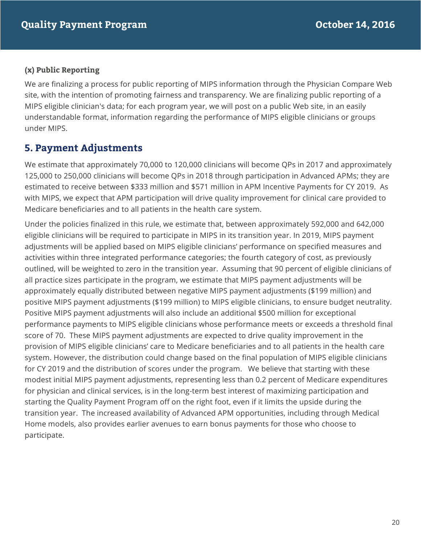## **(x) Public Reporting**

 We are finalizing a process for public reporting of MIPS information through the Physician Compare Web site, with the intention of promoting fairness and transparency. We are finalizing public reporting of a MIPS eligible clinician's data; for each program year, we will post on a public Web site, in an easily understandable format, information regarding the performance of MIPS eligible clinicians or groups under MIPS.

# **5. Payment Adjustments**

 We estimate that approximately 70,000 to 120,000 clinicians will become QPs in 2017 and approximately 125,000 to 250,000 clinicians will become QPs in 2018 through participation in Advanced APMs; they are estimated to receive between \$333 million and \$571 million in APM Incentive Payments for CY 2019. As with MIPS, we expect that APM participation will drive quality improvement for clinical care provided to Medicare beneficiaries and to all patients in the health care system.

 Under the policies finalized in this rule, we estimate that, between approximately 592,000 and 642,000 eligible clinicians will be required to participate in MIPS in its transition year. In 2019, MIPS payment adjustments will be applied based on MIPS eligible clinicians' performance on specified measures and activities within three integrated performance categories; the fourth category of cost, as previously outlined, will be weighted to zero in the transition year. Assuming that 90 percent of eligible clinicians of all practice sizes participate in the program, we estimate that MIPS payment adjustments will be approximately equally distributed between negative MIPS payment adjustments (\$199 million) and positive MIPS payment adjustments (\$199 million) to MIPS eligible clinicians, to ensure budget neutrality. Positive MIPS payment adjustments will also include an additional \$500 million for exceptional performance payments to MIPS eligible clinicians whose performance meets or exceeds a threshold final score of 70. These MIPS payment adjustments are expected to drive quality improvement in the provision of MIPS eligible clinicians' care to Medicare beneficiaries and to all patients in the health care system. However, the distribution could change based on the final population of MIPS eligible clinicians for CY 2019 and the distribution of scores under the program. We believe that starting with these modest initial MIPS payment adjustments, representing less than 0.2 percent of Medicare expenditures for physician and clinical services, is in the long-term best interest of maximizing participation and starting the Quality Payment Program off on the right foot, even if it limits the upside during the transition year. The increased availability of Advanced APM opportunities, including through Medical Home models, also provides earlier avenues to earn bonus payments for those who choose to participate. participate.<br>20<br>20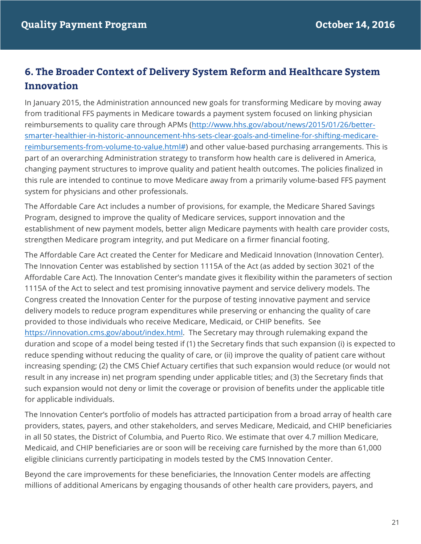# **6. The Broader Context of Delivery System Reform and Healthcare System Innovation**

 from traditional FFS payments in Medicare towards a payment system focused on linking physician reimbursements to quality care through APMs (http://www.hhs.gov/about/news/2015/01/26/better- reimbursements-from-volume-to-value.html#) and other value-based purchasing arrangements. This is part of an overarching Administration strategy to transform how health care is delivered in America, changing payment structures to improve quality and patient health outcomes. The policies finalized in this rule are intended to continue to move Medicare away from a primarily volume-based FFS payment system for physicians and other professionals. In January 2015, the Administration announced new goals for transforming Medicare by moving away smarter-healthier-in-historic-announcement-hhs-sets-clear-goals-and-timeline-for-shifting-medicare-

 The Affordable Care Act includes a number of provisions, for example, the Medicare Shared Savings Program, designed to improve the quality of Medicare services, support innovation and the establishment of new payment models, better align Medicare payments with health care provider costs, strengthen Medicare program integrity, and put Medicare on a firmer financial footing.

 The Affordable Care Act created the Center for Medicare and Medicaid Innovation (Innovation Center). The Innovation Center was established by section 1115A of the Act (as added by section 3021 of the Affordable Care Act). The Innovation Center's mandate gives it flexibility within the parameters of section 1115A of the Act to select and test promising innovative payment and service delivery models. The Congress created the Innovation Center for the purpose of testing innovative payment and service delivery models to reduce program expenditures while preserving or enhancing the quality of care provided to those individuals who receive Medicare, Medicaid, or CHIP benefits. See duration and scope of a model being tested if (1) the Secretary finds that such expansion (i) is expected to reduce spending without reducing the quality of care, or (ii) improve the quality of patient care without result in any increase in) net program spending under applicable titles; and (3) the Secretary finds that such expansion would not deny or limit the coverage or provision of benefits under the applicable title for applicable individuals. https://innovation.cms.gov/about/index.html. The Secretary may through rulemaking expand the increasing spending; (2) the CMS Chief Actuary certifies that such expansion would reduce (or would not

 The Innovation Center's portfolio of models has attracted participation from a broad array of health care providers, states, payers, and other stakeholders, and serves Medicare, Medicaid, and CHIP beneficiaries Medicaid, and CHIP beneficiaries are or soon will be receiving care furnished by the more than 61,000 eligible clinicians currently participating in models tested by the CMS Innovation Center. in all 50 states, the District of Columbia, and Puerto Rico. We estimate that over 4.7 million Medicare,

 Beyond the care improvements for these beneficiaries, the Innovation Center models are affecting millions of additional Americans by engaging thousands of other health care providers, payers, and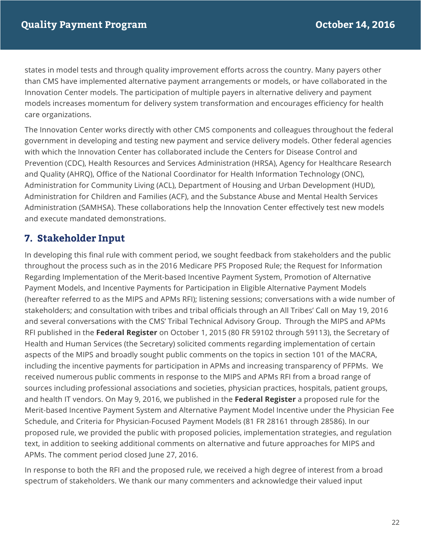states in model tests and through quality improvement efforts across the country. Many payers other than CMS have implemented alternative payment arrangements or models, or have collaborated in the models increases momentum for delivery system transformation and encourages efficiency for health Innovation Center models. The participation of multiple payers in alternative delivery and payment care organizations.

 The Innovation Center works directly with other CMS components and colleagues throughout the federal government in developing and testing new payment and service delivery models. Other federal agencies with which the Innovation Center has collaborated include the Centers for Disease Control and Prevention (CDC), Health Resources and Services Administration (HRSA), Agency for Healthcare Research and Quality (AHRQ), Office of the National Coordinator for Health Information Technology (ONC), Administration for Community Living (ACL), Department of Housing and Urban Development (HUD), Administration for Children and Families (ACF), and the Substance Abuse and Mental Health Services Administration (SAMHSA). These collaborations help the Innovation Center effectively test new models and execute mandated demonstrations.

# **7. Stakeholder Input**

 In developing this final rule with comment period, we sought feedback from stakeholders and the public throughout the process such as in the 2016 Medicare PFS Proposed Rule; the Request for Information Regarding Implementation of the Merit-based Incentive Payment System, Promotion of Alternative Payment Models, and Incentive Payments for Participation in Eligible Alternative Payment Models (hereafter referred to as the MIPS and APMs RFI); listening sessions; conversations with a wide number of stakeholders; and consultation with tribes and tribal officials through an All Tribes' Call on May 19, 2016 and several conversations with the CMS' Tribal Technical Advisory Group. Through the MIPS and APMs RFI published in the **Federal Register** on October 1, 2015 (80 FR 59102 through 59113), the Secretary of Health and Human Services (the Secretary) solicited comments regarding implementation of certain aspects of the MIPS and broadly sought public comments on the topics in section 101 of the MACRA, received numerous public comments in response to the MIPS and APMs RFI from a broad range of sources including professional associations and societies, physician practices, hospitals, patient groups, and health IT vendors. On May 9, 2016, we published in the **Federal Register** a proposed rule for the Merit-based Incentive Payment System and Alternative Payment Model Incentive under the Physician Fee Schedule, and Criteria for Physician-Focused Payment Models (81 FR 28161 through 28586). In our proposed rule, we provided the public with proposed policies, implementation strategies, and regulation text, in addition to seeking additional comments on alternative and future approaches for MIPS and APMs. The comment period closed June 27, 2016. including the incentive payments for participation in APMs and increasing transparency of PFPMs. We

 spectrum of stakeholders. We thank our many commenters and acknowledge their valued input In response to both the RFI and the proposed rule, we received a high degree of interest from a broad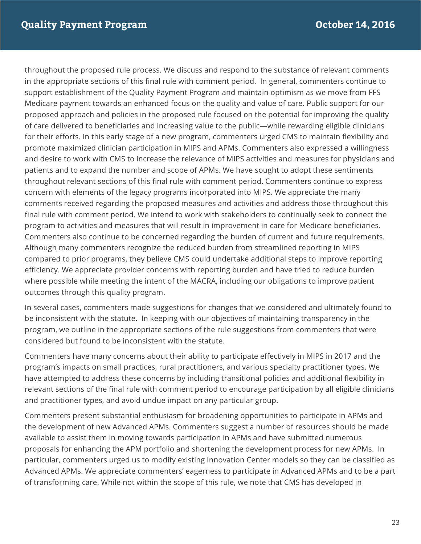throughout the proposed rule process. We discuss and respond to the substance of relevant comments support establishment of the Quality Payment Program and maintain optimism as we move from FFS Medicare payment towards an enhanced focus on the quality and value of care. Public support for our proposed approach and policies in the proposed rule focused on the potential for improving the quality of care delivered to beneficiaries and increasing value to the public—while rewarding eligible clinicians for their efforts. In this early stage of a new program, commenters urged CMS to maintain flexibility and and desire to work with CMS to increase the relevance of MIPS activities and measures for physicians and patients and to expand the number and scope of APMs. We have sought to adopt these sentiments throughout relevant sections of this final rule with comment period. Commenters continue to express concern with elements of the legacy programs incorporated into MIPS. We appreciate the many comments received regarding the proposed measures and activities and address those throughout this final rule with comment period. We intend to work with stakeholders to continually seek to connect the program to activities and measures that will result in improvement in care for Medicare beneficiaries. Commenters also continue to be concerned regarding the burden of current and future requirements. Although many commenters recognize the reduced burden from streamlined reporting in MIPS compared to prior programs, they believe CMS could undertake additional steps to improve reporting efficiency. We appreciate provider concerns with reporting burden and have tried to reduce burden where possible while meeting the intent of the MACRA, including our obligations to improve patient outcomes through this quality program. in the appropriate sections of this final rule with comment period. In general, commenters continue to promote maximized clinician participation in MIPS and APMs. Commenters also expressed a willingness

 be inconsistent with the statute. In keeping with our objectives of maintaining transparency in the program, we outline in the appropriate sections of the rule suggestions from commenters that were considered but found to be inconsistent with the statute. In several cases, commenters made suggestions for changes that we considered and ultimately found to

 Commenters have many concerns about their ability to participate effectively in MIPS in 2017 and the program's impacts on small practices, rural practitioners, and various specialty practitioner types. We have attempted to address these concerns by including transitional policies and additional flexibility in relevant sections of the final rule with comment period to encourage participation by all eligible clinicians and practitioner types, and avoid undue impact on any particular group.

 Commenters present substantial enthusiasm for broadening opportunities to participate in APMs and the development of new Advanced APMs. Commenters suggest a number of resources should be made available to assist them in moving towards participation in APMs and have submitted numerous proposals for enhancing the APM portfolio and shortening the development process for new APMs. In particular, commenters urged us to modify existing Innovation Center models so they can be classified as Advanced APMs. We appreciate commenters' eagerness to participate in Advanced APMs and to be a part of transforming care. While not within the scope of this rule, we note that CMS has developed in